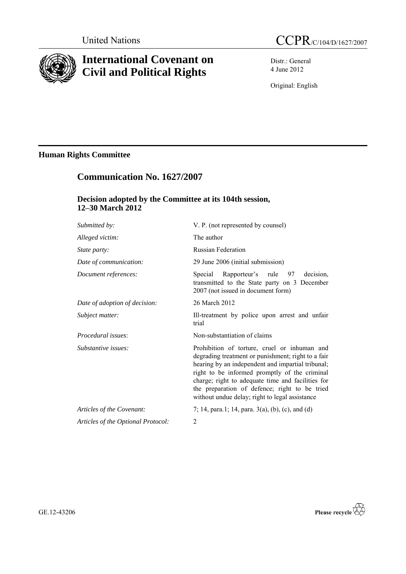

# **International Covenant on Civil and Political Rights**

Distr.: General 4 June 2012

Original: English

## **Human Rights Committee**

## **Communication No. 1627/2007**

## **Decision adopted by the Committee at its 104th session, 12–30 March 2012**

| Submitted by:                      | V. P. (not represented by counsel)                                                                                                                                                                                                                                                                                                                               |
|------------------------------------|------------------------------------------------------------------------------------------------------------------------------------------------------------------------------------------------------------------------------------------------------------------------------------------------------------------------------------------------------------------|
| Alleged victim:                    | The author                                                                                                                                                                                                                                                                                                                                                       |
| State party:                       | <b>Russian Federation</b>                                                                                                                                                                                                                                                                                                                                        |
| Date of communication:             | 29 June 2006 (initial submission)                                                                                                                                                                                                                                                                                                                                |
| Document references:               | decision,<br>Special<br>Rapporteur's rule<br>97<br>transmitted to the State party on 3 December<br>2007 (not issued in document form)                                                                                                                                                                                                                            |
| Date of adoption of decision:      | 26 March 2012                                                                                                                                                                                                                                                                                                                                                    |
| Subject matter:                    | Ill-treatment by police upon arrest and unfair<br>trial                                                                                                                                                                                                                                                                                                          |
| <i>Procedural issues:</i>          | Non-substantiation of claims                                                                                                                                                                                                                                                                                                                                     |
| Substantive issues:                | Prohibition of torture, cruel or inhuman and<br>degrading treatment or punishment; right to a fair<br>hearing by an independent and impartial tribunal;<br>right to be informed promptly of the criminal<br>charge; right to adequate time and facilities for<br>the preparation of defence; right to be tried<br>without undue delay; right to legal assistance |
| Articles of the Covenant:          | 7; 14, para.1; 14, para. $3(a)$ , (b), (c), and (d)                                                                                                                                                                                                                                                                                                              |
| Articles of the Optional Protocol: | 2                                                                                                                                                                                                                                                                                                                                                                |

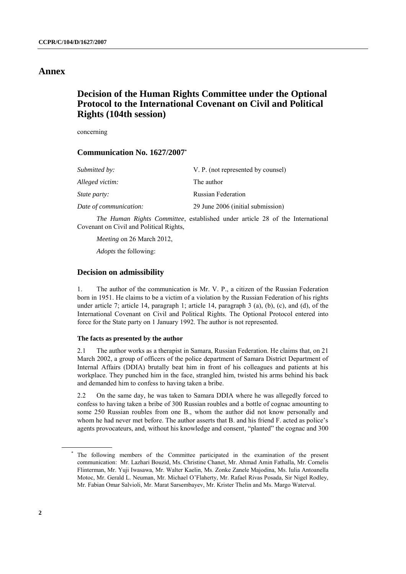### **Annex**

## **Decision of the Human Rights Committee under the Optional Protocol to the International Covenant on Civil and Political Rights (104th session)**

concerning

### **Communication No. 1627/2007\***

| Submitted by:          | V. P. (not represented by counsel) |
|------------------------|------------------------------------|
| Alleged victim:        | The author                         |
| <i>State party:</i>    | <b>Russian Federation</b>          |
| Date of communication: | 29 June 2006 (initial submission)  |

*The Human Rights Committee*, established under article 28 of the International Covenant on Civil and Political Rights,

*Meeting* on 26 March 2012,

*Adopts* the following:

#### **Decision on admissibility**

1. The author of the communication is Mr. V. P., a citizen of the Russian Federation born in 1951. He claims to be a victim of a violation by the Russian Federation of his rights under article 7; article 14, paragraph 1; article 14, paragraph 3 (a), (b), (c), and (d), of the International Covenant on Civil and Political Rights. The Optional Protocol entered into force for the State party on 1 January 1992. The author is not represented.

#### **The facts as presented by the author**

2.1 The author works as a therapist in Samara, Russian Federation. He claims that, on 21 March 2002, a group of officers of the police department of Samara District Department of Internal Affairs (DDIA) brutally beat him in front of his colleagues and patients at his workplace. They punched him in the face, strangled him, twisted his arms behind his back and demanded him to confess to having taken a bribe.

2.2 On the same day, he was taken to Samara DDIA where he was allegedly forced to confess to having taken a bribe of 300 Russian roubles and a bottle of cognac amounting to some 250 Russian roubles from one B., whom the author did not know personally and whom he had never met before. The author asserts that B. and his friend F. acted as police's agents provocateurs, and, without his knowledge and consent, "planted" the cognac and 300

<sup>\*</sup> The following members of the Committee participated in the examination of the present communication: Mr. Lazhari Bouzid, Ms. Christine Chanet, Mr. Ahmad Amin Fathalla, Mr. Cornelis Flinterman, Mr. Yuji Iwasawa, Mr. Walter Kaelin, Ms. Zonke Zanele Majodina, Ms. Iulia Antoanella Motoc, Mr. Gerald L. Neuman, Mr. Michael O'Flaherty, Mr. Rafael Rivas Posada, Sir Nigel Rodley, Mr. Fabian Omar Salvioli, Mr. Marat Sarsembayev, Mr. Krister Thelin and Ms. Margo Waterval.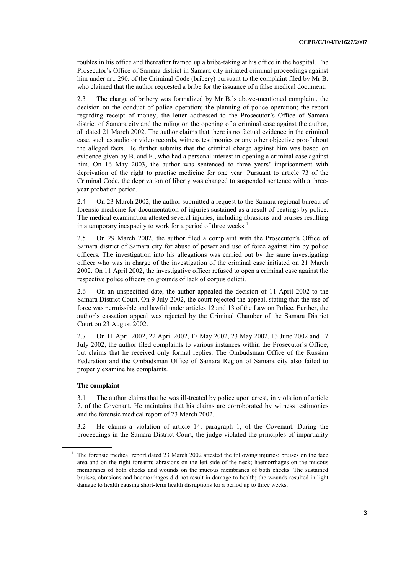roubles in his office and thereafter framed up a bribe-taking at his office in the hospital. The Prosecutor's Office of Samara district in Samara city initiated criminal proceedings against him under art. 290, of the Criminal Code (bribery) pursuant to the complaint filed by Mr B. who claimed that the author requested a bribe for the issuance of a false medical document.

2.3 The charge of bribery was formalized by Mr B.'s above-mentioned complaint, the decision on the conduct of police operation; the planning of police operation; the report regarding receipt of money; the letter addressed to the Prosecutor's Office of Samara district of Samara city and the ruling on the opening of a criminal case against the author, all dated 21 March 2002. The author claims that there is no factual evidence in the criminal case, such as audio or video records, witness testimonies or any other objective proof about the alleged facts. He further submits that the criminal charge against him was based on evidence given by B. and F., who had a personal interest in opening a criminal case against him. On 16 May 2003, the author was sentenced to three years' imprisonment with deprivation of the right to practise medicine for one year. Pursuant to article 73 of the Criminal Code, the deprivation of liberty was changed to suspended sentence with a threeyear probation period.

2.4 On 23 March 2002, the author submitted a request to the Samara regional bureau of forensic medicine for documentation of injuries sustained as a result of beatings by police. The medical examination attested several injuries, including abrasions and bruises resulting in a temporary incapacity to work for a period of three weeks. $<sup>1</sup>$ </sup>

2.5 On 29 March 2002, the author filed a complaint with the Prosecutor's Office of Samara district of Samara city for abuse of power and use of force against him by police officers. The investigation into his allegations was carried out by the same investigating officer who was in charge of the investigation of the criminal case initiated on 21 March 2002. On 11 April 2002, the investigative officer refused to open a criminal case against the respective police officers on grounds of lack of corpus delicti.

2.6 On an unspecified date, the author appealed the decision of 11 April 2002 to the Samara District Court. On 9 July 2002, the court rejected the appeal, stating that the use of force was permissible and lawful under articles 12 and 13 of the Law on Police. Further, the author's cassation appeal was rejected by the Criminal Chamber of the Samara District Court on 23 August 2002.

2.7 On 11 April 2002, 22 April 2002, 17 May 2002, 23 May 2002, 13 June 2002 and 17 July 2002, the author filed complaints to various instances within the Prosecutor's Office, but claims that he received only formal replies. The Ombudsman Office of the Russian Federation and the Ombudsman Office of Samara Region of Samara city also failed to properly examine his complaints.

#### **The complaint**

3.1 The author claims that he was ill-treated by police upon arrest, in violation of article 7, of the Covenant. He maintains that his claims are corroborated by witness testimonies and the forensic medical report of 23 March 2002.

3.2 He claims a violation of article 14, paragraph 1, of the Covenant. During the proceedings in the Samara District Court, the judge violated the principles of impartiality

<sup>&</sup>lt;sup>1</sup> The forensic medical report dated 23 March 2002 attested the following injuries: bruises on the face area and on the right forearm; abrasions on the left side of the neck; haemorrhages on the mucous membranes of both cheeks and wounds on the mucous membranes of both cheeks. The sustained bruises, abrasions and haemorrhages did not result in damage to health; the wounds resulted in light damage to health causing short-term health disruptions for a period up to three weeks.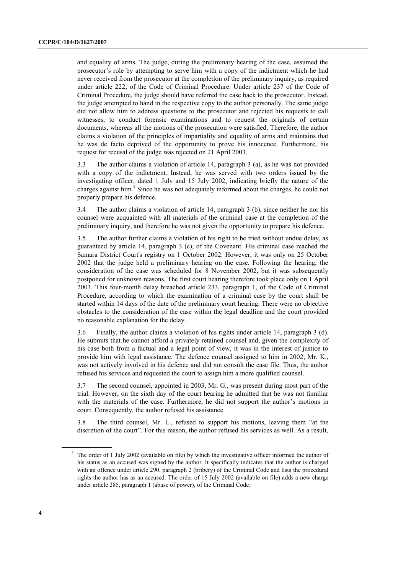and equality of arms. The judge, during the preliminary hearing of the case, assumed the prosecutor's role by attempting to serve him with a copy of the indictment which he had never received from the prosecutor at the completion of the preliminary inquiry, as required under article 222, of the Code of Criminal Procedure. Under article 237 of the Code of Criminal Procedure, the judge should have referred the case back to the prosecutor. Instead, the judge attempted to hand in the respective copy to the author personally. The same judge did not allow him to address questions to the prosecutor and rejected his requests to call witnesses, to conduct forensic examinations and to request the originals of certain documents, whereas all the motions of the prosecution were satisfied. Therefore, the author claims a violation of the principles of impartiality and equality of arms and maintains that he was de facto deprived of the opportunity to prove his innocence. Furthermore, his request for recusal of the judge was rejected on 21 April 2003.

3.3 The author claims a violation of article 14, paragraph 3 (a), as he was not provided with a copy of the indictment. Instead, he was served with two orders issued by the investigating officer, dated 1 July and 15 July 2002, indicating briefly the nature of the charges against him.<sup>2</sup> Since he was not adequately informed about the charges, he could not properly prepare his defence.

3.4 The author claims a violation of article 14, paragraph 3 (b), since neither he nor his counsel were acquainted with all materials of the criminal case at the completion of the preliminary inquiry, and therefore he was not given the opportunity to prepare his defence.

3.5 The author further claims a violation of his right to be tried without undue delay, as guaranteed by article 14, paragraph 3 (c), of the Covenant. His criminal case reached the Samara District Court's registry on 1 October 2002. However, it was only on 25 October 2002 that the judge held a preliminary hearing on the case. Following the hearing, the consideration of the case was scheduled for 8 November 2002, but it was subsequently postponed for unknown reasons. The first court hearing therefore took place only on 1 April 2003. This four-month delay breached article 233, paragraph 1, of the Code of Criminal Procedure, according to which the examination of a criminal case by the court shall be started within 14 days of the date of the preliminary court hearing. There were no objective obstacles to the consideration of the case within the legal deadline and the court provided no reasonable explanation for the delay.

3.6 Finally, the author claims a violation of his rights under article 14, paragraph 3 (d). He submits that he cannot afford a privately retained counsel and, given the complexity of his case both from a factual and a legal point of view, it was in the interest of justice to provide him with legal assistance. The defence counsel assigned to him in 2002, Mr. K., was not actively involved in his defence and did not consult the case file. Thus, the author refused his services and requested the court to assign him a more qualified counsel.

3.7 The second counsel, appointed in 2003, Mr. G., was present during most part of the trial. However, on the sixth day of the court hearing he admitted that he was not familiar with the materials of the case. Furthermore, he did not support the author's motions in court. Consequently, the author refused his assistance.

3.8 The third counsel, Mr. L., refused to support his motions, leaving them "at the discretion of the court". For this reason, the author refused his services as well. As a result,

<sup>&</sup>lt;sup>2</sup> The order of 1 July 2002 (available on file) by which the investigative officer informed the author of his status as an accused was signed by the author. It specifically indicates that the author is charged with an offence under article 290, paragraph 2 (bribery) of the Criminal Code and lists the procedural rights the author has as an accused. The order of 15 July 2002 (available on file) adds a new charge under article 285, paragraph 1 (abuse of power), of the Criminal Code.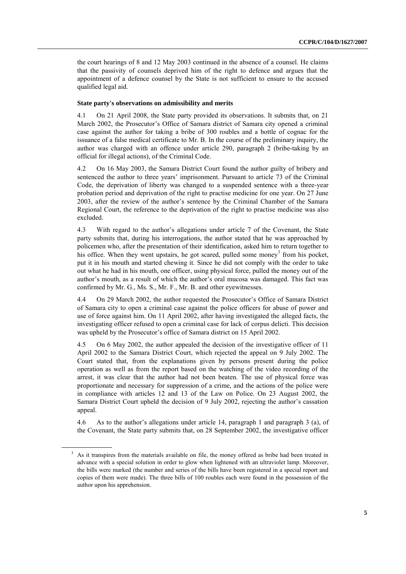the court hearings of 8 and 12 May 2003 continued in the absence of a counsel. He claims that the passivity of counsels deprived him of the right to defence and argues that the appointment of a defence counsel by the State is not sufficient to ensure to the accused qualified legal aid.

#### **State party's observations on admissibility and merits**

4.1 On 21 April 2008, the State party provided its observations. It submits that, on 21 March 2002, the Prosecutor's Office of Samara district of Samara city opened a criminal case against the author for taking a bribe of 300 roubles and a bottle of cognac for the issuance of a false medical certificate to Mr. B. In the course of the preliminary inquiry, the author was charged with an offence under article 290, paragraph 2 (bribe-taking by an official for illegal actions), of the Criminal Code.

4.2 On 16 May 2003, the Samara District Court found the author guilty of bribery and sentenced the author to three years' imprisonment. Pursuant to article 73 of the Criminal Code, the deprivation of liberty was changed to a suspended sentence with a three-year probation period and deprivation of the right to practise medicine for one year. On 27 June 2003, after the review of the author's sentence by the Criminal Chamber of the Samara Regional Court, the reference to the deprivation of the right to practise medicine was also excluded.

4.3 With regard to the author's allegations under article 7 of the Covenant, the State party submits that, during his interrogations, the author stated that he was approached by policemen who, after the presentation of their identification, asked him to return together to his office. When they went upstairs, he got scared, pulled some money<sup>3</sup> from his pocket, put it in his mouth and started chewing it. Since he did not comply with the order to take out what he had in his mouth, one officer, using physical force, pulled the money out of the author's mouth, as a result of which the author's oral mucosa was damaged. This fact was confirmed by Mr. G., Ms. S., Mr. F., Mr. B. and other eyewitnesses.

4.4 On 29 March 2002, the author requested the Prosecutor's Office of Samara District of Samara city to open a criminal case against the police officers for abuse of power and use of force against him. On 11 April 2002, after having investigated the alleged facts, the investigating officer refused to open a criminal case for lack of corpus delicti. This decision was upheld by the Prosecutor's office of Samara district on 15 April 2002.

4.5 On 6 May 2002, the author appealed the decision of the investigative officer of 11 April 2002 to the Samara District Court, which rejected the appeal on 9 July 2002. The Court stated that, from the explanations given by persons present during the police operation as well as from the report based on the watching of the video recording of the arrest, it was clear that the author had not been beaten. The use of physical force was proportionate and necessary for suppression of a crime, and the actions of the police were in compliance with articles 12 and 13 of the Law on Police. On 23 August 2002, the Samara District Court upheld the decision of 9 July 2002, rejecting the author's cassation appeal.

4.6 As to the author's allegations under article 14, paragraph 1 and paragraph 3 (a), of the Covenant, the State party submits that, on 28 September 2002, the investigative officer

<sup>&</sup>lt;sup>3</sup> As it transpires from the materials available on file, the money offered as bribe had been treated in advance with a special solution in order to glow when lightened with an ultraviolet lamp. Moreover, the bills were marked (the number and series of the bills have been registered in a special report and copies of them were made). The three bills of 100 roubles each were found in the possession of the author upon his apprehension.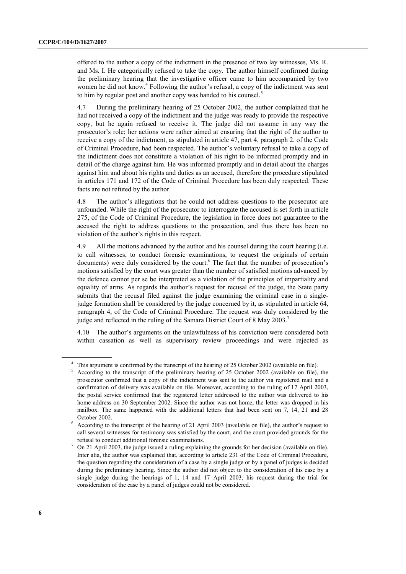offered to the author a copy of the indictment in the presence of two lay witnesses, Ms. R. and Ms. I. He categorically refused to take the copy. The author himself confirmed during the preliminary hearing that the investigative officer came to him accompanied by two women he did not know.<sup>4</sup> Following the author's refusal, a copy of the indictment was sent to him by regular post and another copy was handed to his counsel.<sup>5</sup>

4.7 During the preliminary hearing of 25 October 2002, the author complained that he had not received a copy of the indictment and the judge was ready to provide the respective copy, but he again refused to receive it. The judge did not assume in any way the prosecutor's role; her actions were rather aimed at ensuring that the right of the author to receive a copy of the indictment, as stipulated in article 47, part 4, paragraph 2, of the Code of Criminal Procedure, had been respected. The author's voluntary refusal to take a copy of the indictment does not constitute a violation of his right to be informed promptly and in detail of the charge against him. He was informed promptly and in detail about the charges against him and about his rights and duties as an accused, therefore the procedure stipulated in articles 171 and 172 of the Code of Criminal Procedure has been duly respected. These facts are not refuted by the author.

4.8 The author's allegations that he could not address questions to the prosecutor are unfounded. While the right of the prosecutor to interrogate the accused is set forth in article 275, of the Code of Criminal Procedure, the legislation in force does not guarantee to the accused the right to address questions to the prosecution, and thus there has been no violation of the author's rights in this respect.

4.9 All the motions advanced by the author and his counsel during the court hearing (i.e. to call witnesses, to conduct forensic examinations, to request the originals of certain documents) were duly considered by the court.<sup>6</sup> The fact that the number of prosecution's motions satisfied by the court was greater than the number of satisfied motions advanced by the defence cannot per se be interpreted as a violation of the principles of impartiality and equality of arms. As regards the author's request for recusal of the judge, the State party submits that the recusal filed against the judge examining the criminal case in a singlejudge formation shall be considered by the judge concerned by it, as stipulated in article 64, paragraph 4, of the Code of Criminal Procedure. The request was duly considered by the judge and reflected in the ruling of the Samara District Court of 8 May 2003.<sup>7</sup>

4.10 The author's arguments on the unlawfulness of his conviction were considered both within cassation as well as supervisory review proceedings and were rejected as

<sup>&</sup>lt;sup>4</sup> This argument is confirmed by the transcript of the hearing of 25 October 2002 (available on file).

<sup>&</sup>lt;sup>5</sup> According to the transcript of the preliminary hearing of 25 October 2002 (available on file), the prosecutor confirmed that a copy of the indictment was sent to the author via registered mail and a confirmation of delivery was available on file. Moreover, according to the ruling of 17 April 2003, the postal service confirmed that the registered letter addressed to the author was delivered to his home address on 30 September 2002. Since the author was not home, the letter was dropped in his mailbox. The same happened with the additional letters that had been sent on 7, 14, 21 and 28 October 2002.

<sup>6</sup> According to the transcript of the hearing of 21 April 2003 (available on file), the author's request to call several witnesses for testimony was satisfied by the court, and the court provided grounds for the refusal to conduct additional forensic examinations.

<sup>7</sup> On 21 April 2003, the judge issued a ruling explaining the grounds for her decision (available on file). Inter alia, the author was explained that, according to article 231 of the Code of Criminal Procedure, the question regarding the consideration of a case by a single judge or by a panel of judges is decided during the preliminary hearing. Since the author did not object to the consideration of his case by a single judge during the hearings of 1, 14 and 17 April 2003, his request during the trial for consideration of the case by a panel of judges could not be considered.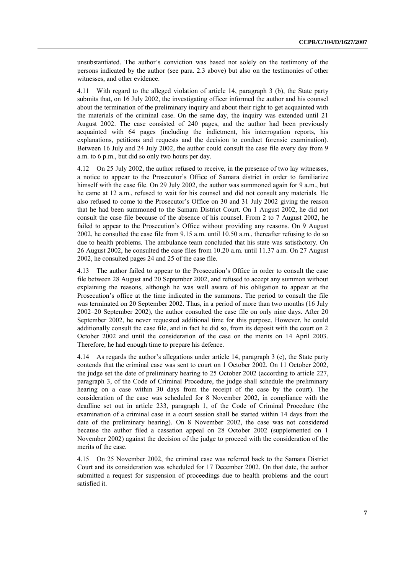unsubstantiated. The author's conviction was based not solely on the testimony of the persons indicated by the author (see para. 2.3 above) but also on the testimonies of other witnesses, and other evidence.

4.11 With regard to the alleged violation of article 14, paragraph 3 (b), the State party submits that, on 16 July 2002, the investigating officer informed the author and his counsel about the termination of the preliminary inquiry and about their right to get acquainted with the materials of the criminal case. On the same day, the inquiry was extended until 21 August 2002. The case consisted of 240 pages, and the author had been previously acquainted with 64 pages (including the indictment, his interrogation reports, his explanations, petitions and requests and the decision to conduct forensic examination). Between 16 July and 24 July 2002, the author could consult the case file every day from 9 a.m. to 6 p.m., but did so only two hours per day.

4.12 On 25 July 2002, the author refused to receive, in the presence of two lay witnesses, a notice to appear to the Prosecutor's Office of Samara district in order to familiarize himself with the case file. On 29 July 2002, the author was summoned again for 9 a.m., but he came at 12 a.m., refused to wait for his counsel and did not consult any materials. He also refused to come to the Prosecutor's Office on 30 and 31 July 2002 giving the reason that he had been summoned to the Samara District Court. On 1 August 2002, he did not consult the case file because of the absence of his counsel. From 2 to 7 August 2002, he failed to appear to the Prosecution's Office without providing any reasons. On 9 August 2002, he consulted the case file from 9.15 a.m. until 10.50 a.m., thereafter refusing to do so due to health problems. The ambulance team concluded that his state was satisfactory. On 26 August 2002, he consulted the case files from 10.20 a.m. until 11.37 a.m. On 27 August 2002, he consulted pages 24 and 25 of the case file.

4.13 The author failed to appear to the Prosecution's Office in order to consult the case file between 28 August and 20 September 2002, and refused to accept any summon without explaining the reasons, although he was well aware of his obligation to appear at the Prosecution's office at the time indicated in the summons. The period to consult the file was terminated on 20 September 2002. Thus, in a period of more than two months (16 July 2002–20 September 2002), the author consulted the case file on only nine days. After 20 September 2002, he never requested additional time for this purpose. However, he could additionally consult the case file, and in fact he did so, from its deposit with the court on 2 October 2002 and until the consideration of the case on the merits on 14 April 2003. Therefore, he had enough time to prepare his defence.

4.14 As regards the author's allegations under article 14, paragraph 3 (c), the State party contends that the criminal case was sent to court on 1 October 2002. On 11 October 2002, the judge set the date of preliminary hearing to 25 October 2002 (according to article 227, paragraph 3, of the Code of Criminal Procedure, the judge shall schedule the preliminary hearing on a case within 30 days from the receipt of the case by the court). The consideration of the case was scheduled for 8 November 2002, in compliance with the deadline set out in article 233, paragraph 1, of the Code of Criminal Procedure (the examination of a criminal case in a court session shall be started within 14 days from the date of the preliminary hearing). On 8 November 2002, the case was not considered because the author filed a cassation appeal on 28 October 2002 (supplemented on 1 November 2002) against the decision of the judge to proceed with the consideration of the merits of the case.

4.15 On 25 November 2002, the criminal case was referred back to the Samara District Court and its consideration was scheduled for 17 December 2002. On that date, the author submitted a request for suspension of proceedings due to health problems and the court satisfied it.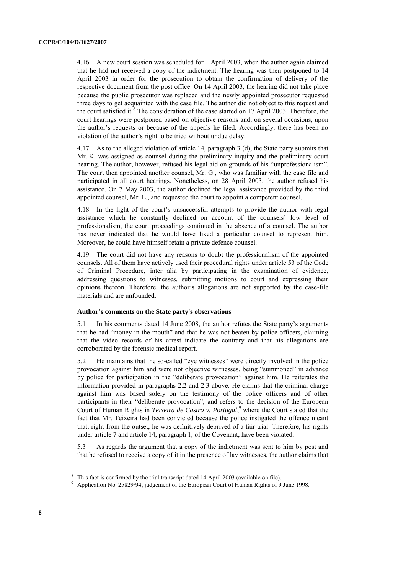4.16 A new court session was scheduled for 1 April 2003, when the author again claimed that he had not received a copy of the indictment. The hearing was then postponed to 14 April 2003 in order for the prosecution to obtain the confirmation of delivery of the respective document from the post office. On 14 April 2003, the hearing did not take place because the public prosecutor was replaced and the newly appointed prosecutor requested three days to get acquainted with the case file. The author did not object to this request and the court satisfied it. $8$  The consideration of the case started on 17 April 2003. Therefore, the court hearings were postponed based on objective reasons and, on several occasions, upon the author's requests or because of the appeals he filed. Accordingly, there has been no violation of the author's right to be tried without undue delay.

4.17 As to the alleged violation of article 14, paragraph 3 (d), the State party submits that Mr. K. was assigned as counsel during the preliminary inquiry and the preliminary court hearing. The author, however, refused his legal aid on grounds of his "unprofessionalism". The court then appointed another counsel, Mr. G., who was familiar with the case file and participated in all court hearings. Nonetheless, on 28 April 2003, the author refused his assistance. On 7 May 2003, the author declined the legal assistance provided by the third appointed counsel, Mr. L., and requested the court to appoint a competent counsel.

4.18 In the light of the court's unsuccessful attempts to provide the author with legal assistance which he constantly declined on account of the counsels' low level of professionalism, the court proceedings continued in the absence of a counsel. The author has never indicated that he would have liked a particular counsel to represent him. Moreover, he could have himself retain a private defence counsel.

4.19 The court did not have any reasons to doubt the professionalism of the appointed counsels. All of them have actively used their procedural rights under article 53 of the Code of Criminal Procedure, inter alia by participating in the examination of evidence, addressing questions to witnesses, submitting motions to court and expressing their opinions thereon. Therefore, the author's allegations are not supported by the case-file materials and are unfounded.

#### **Author's comments on the State party's observations**

5.1 In his comments dated 14 June 2008, the author refutes the State party's arguments that he had "money in the mouth" and that he was not beaten by police officers, claiming that the video records of his arrest indicate the contrary and that his allegations are corroborated by the forensic medical report.

5.2 He maintains that the so-called "eye witnesses" were directly involved in the police provocation against him and were not objective witnesses, being "summoned" in advance by police for participation in the "deliberate provocation" against him. He reiterates the information provided in paragraphs 2.2 and 2.3 above. He claims that the criminal charge against him was based solely on the testimony of the police officers and of other participants in their "deliberate provocation", and refers to the decision of the European Court of Human Rights in *Teixeira de Castro v. Portugal*, <sup>9</sup> where the Court stated that the fact that Mr. Teixeira had been convicted because the police instigated the offence meant that, right from the outset, he was definitively deprived of a fair trial. Therefore, his rights under article 7 and article 14, paragraph 1, of the Covenant, have been violated.

5.3 As regards the argument that a copy of the indictment was sent to him by post and that he refused to receive a copy of it in the presence of lay witnesses, the author claims that

<sup>&</sup>lt;sup>8</sup> This fact is confirmed by the trial transcript dated 14 April 2003 (available on file).

<sup>9</sup> Application No. 25829/94, judgement of the European Court of Human Rights of 9 June 1998.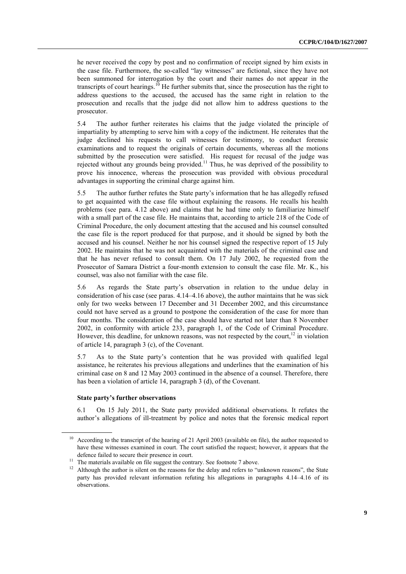he never received the copy by post and no confirmation of receipt signed by him exists in the case file. Furthermore, the so-called "lay witnesses" are fictional, since they have not been summoned for interrogation by the court and their names do not appear in the transcripts of court hearings.<sup>10</sup> He further submits that, since the prosecution has the right to address questions to the accused, the accused has the same right in relation to the prosecution and recalls that the judge did not allow him to address questions to the prosecutor.

5.4 The author further reiterates his claims that the judge violated the principle of impartiality by attempting to serve him with a copy of the indictment. He reiterates that the judge declined his requests to call witnesses for testimony, to conduct forensic examinations and to request the originals of certain documents, whereas all the motions submitted by the prosecution were satisfied. His request for recusal of the judge was rejected without any grounds being provided.<sup>11</sup> Thus, he was deprived of the possibility to prove his innocence, whereas the prosecution was provided with obvious procedural advantages in supporting the criminal charge against him.

5.5 The author further refutes the State party's information that he has allegedly refused to get acquainted with the case file without explaining the reasons. He recalls his health problems (see para. 4.12 above) and claims that he had time only to familiarize himself with a small part of the case file. He maintains that, according to article 218 of the Code of Criminal Procedure, the only document attesting that the accused and his counsel consulted the case file is the report produced for that purpose, and it should be signed by both the accused and his counsel. Neither he nor his counsel signed the respective report of 15 July 2002. He maintains that he was not acquainted with the materials of the criminal case and that he has never refused to consult them. On 17 July 2002, he requested from the Prosecutor of Samara District a four-month extension to consult the case file. Mr. K., his counsel, was also not familiar with the case file.

5.6 As regards the State party's observation in relation to the undue delay in consideration of his case (see paras. 4.14–4.16 above), the author maintains that he was sick only for two weeks between 17 December and 31 December 2002, and this circumstance could not have served as a ground to postpone the consideration of the case for more than four months. The consideration of the case should have started not later than 8 November 2002, in conformity with article 233, paragraph 1, of the Code of Criminal Procedure. However, this deadline, for unknown reasons, was not respected by the court,  $12$  in violation of article 14, paragraph 3 (c), of the Covenant.

5.7 As to the State party's contention that he was provided with qualified legal assistance, he reiterates his previous allegations and underlines that the examination of his criminal case on 8 and 12 May 2003 continued in the absence of a counsel. Therefore, there has been a violation of article 14, paragraph 3 (d), of the Covenant.

#### **State party's further observations**

6.1 On 15 July 2011, the State party provided additional observations. It refutes the author's allegations of ill-treatment by police and notes that the forensic medical report

<sup>&</sup>lt;sup>10</sup> According to the transcript of the hearing of 21 April 2003 (available on file), the author requested to have these witnesses examined in court. The court satisfied the request; however, it appears that the defence failed to secure their presence in court.

 $11$  The materials available on file suggest the contrary. See footnote 7 above.

<sup>&</sup>lt;sup>12</sup> Although the author is silent on the reasons for the delay and refers to "unknown reasons", the State party has provided relevant information refuting his allegations in paragraphs 4.14–4.16 of its observations.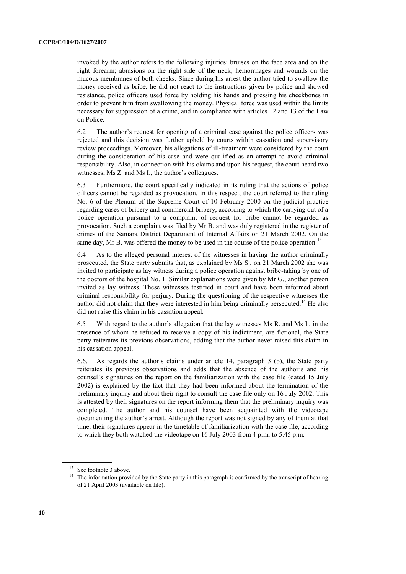invoked by the author refers to the following injuries: bruises on the face area and on the right forearm; abrasions on the right side of the neck; hemorrhages and wounds on the mucous membranes of both cheeks. Since during his arrest the author tried to swallow the money received as bribe, he did not react to the instructions given by police and showed resistance, police officers used force by holding his hands and pressing his cheekbones in order to prevent him from swallowing the money. Physical force was used within the limits necessary for suppression of a crime, and in compliance with articles 12 and 13 of the Law on Police.

6.2 The author's request for opening of a criminal case against the police officers was rejected and this decision was further upheld by courts within cassation and supervisory review proceedings. Moreover, his allegations of ill-treatment were considered by the court during the consideration of his case and were qualified as an attempt to avoid criminal responsibility. Also, in connection with his claims and upon his request, the court heard two witnesses, Ms Z. and Ms I., the author's colleagues.

6.3 Furthermore, the court specifically indicated in its ruling that the actions of police officers cannot be regarded as provocation. In this respect, the court referred to the ruling No. 6 of the Plenum of the Supreme Court of 10 February 2000 on the judicial practice regarding cases of bribery and commercial bribery, according to which the carrying out of a police operation pursuant to a complaint of request for bribe cannot be regarded as provocation. Such a complaint was filed by Mr B. and was duly registered in the register of crimes of the Samara District Department of Internal Affairs on 21 March 2002. On the same day, Mr B. was offered the money to be used in the course of the police operation.<sup>13</sup>

6.4 As to the alleged personal interest of the witnesses in having the author criminally prosecuted, the State party submits that, as explained by Ms S., on 21 March 2002 she was invited to participate as lay witness during a police operation against bribe-taking by one of the doctors of the hospital No. 1. Similar explanations were given by Mr G., another person invited as lay witness. These witnesses testified in court and have been informed about criminal responsibility for perjury. During the questioning of the respective witnesses the author did not claim that they were interested in him being criminally persecuted.<sup>14</sup> He also did not raise this claim in his cassation appeal.

6.5 With regard to the author's allegation that the lay witnesses Ms R. and Ms I., in the presence of whom he refused to receive a copy of his indictment, are fictional, the State party reiterates its previous observations, adding that the author never raised this claim in his cassation appeal.

6.6. As regards the author's claims under article 14, paragraph 3 (b), the State party reiterates its previous observations and adds that the absence of the author's and his counsel's signatures on the report on the familiarization with the case file (dated 15 July 2002) is explained by the fact that they had been informed about the termination of the preliminary inquiry and about their right to consult the case file only on 16 July 2002. This is attested by their signatures on the report informing them that the preliminary inquiry was completed. The author and his counsel have been acquainted with the videotape documenting the author's arrest. Although the report was not signed by any of them at that time, their signatures appear in the timetable of familiarization with the case file, according to which they both watched the videotape on 16 July 2003 from 4 p.m. to 5.45 p.m.

<sup>&</sup>lt;sup>13</sup> See footnote 3 above.

<sup>&</sup>lt;sup>14</sup> The information provided by the State party in this paragraph is confirmed by the transcript of hearing of 21 April 2003 (available on file).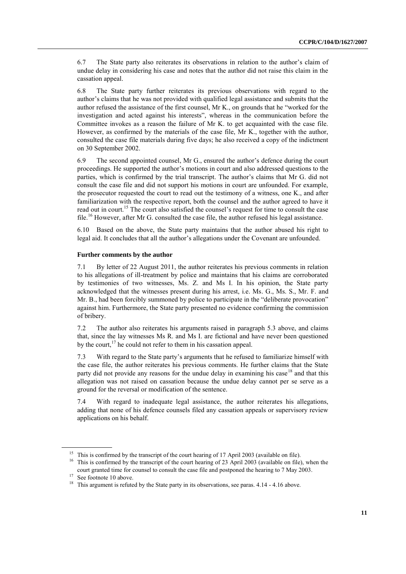6.7 The State party also reiterates its observations in relation to the author's claim of undue delay in considering his case and notes that the author did not raise this claim in the cassation appeal.

6.8 The State party further reiterates its previous observations with regard to the author's claims that he was not provided with qualified legal assistance and submits that the author refused the assistance of the first counsel, Mr K., on grounds that he "worked for the investigation and acted against his interests", whereas in the communication before the Committee invokes as a reason the failure of Mr K. to get acquainted with the case file. However, as confirmed by the materials of the case file, Mr K., together with the author, consulted the case file materials during five days; he also received a copy of the indictment on 30 September 2002.

6.9 The second appointed counsel, Mr G., ensured the author's defence during the court proceedings. He supported the author's motions in court and also addressed questions to the parties, which is confirmed by the trial transcript. The author's claims that Mr G. did not consult the case file and did not support his motions in court are unfounded. For example, the prosecutor requested the court to read out the testimony of a witness, one K., and after familiarization with the respective report, both the counsel and the author agreed to have it read out in court.<sup>15</sup> The court also satisfied the counsel's request for time to consult the case file.<sup>16</sup> However, after Mr G. consulted the case file, the author refused his legal assistance.

6.10 Based on the above, the State party maintains that the author abused his right to legal aid. It concludes that all the author's allegations under the Covenant are unfounded.

#### **Further comments by the author**

7.1 By letter of 22 August 2011, the author reiterates his previous comments in relation to his allegations of ill-treatment by police and maintains that his claims are corroborated by testimonies of two witnesses, Ms. Z. and Ms I. In his opinion, the State party acknowledged that the witnesses present during his arrest, i.e. Ms. G., Ms. S., Mr. F. and Mr. B., had been forcibly summoned by police to participate in the "deliberate provocation" against him. Furthermore, the State party presented no evidence confirming the commission of bribery.

7.2 The author also reiterates his arguments raised in paragraph 5.3 above, and claims that, since the lay witnesses Ms R. and Ms I. are fictional and have never been questioned by the court,<sup>17</sup> he could not refer to them in his cassation appeal.

7.3 With regard to the State party's arguments that he refused to familiarize himself with the case file, the author reiterates his previous comments. He further claims that the State party did not provide any reasons for the undue delay in examining his case<sup>18</sup> and that this allegation was not raised on cassation because the undue delay cannot per se serve as a ground for the reversal or modification of the sentence.

7.4 With regard to inadequate legal assistance, the author reiterates his allegations, adding that none of his defence counsels filed any cassation appeals or supervisory review applications on his behalf.

<sup>&</sup>lt;sup>15</sup> This is confirmed by the transcript of the court hearing of 17 April 2003 (available on file).

<sup>&</sup>lt;sup>16</sup> This is confirmed by the transcript of the court hearing of 23 April 2003 (available on file), when the court granted time for counsel to consult the case file and postponed the hearing to 7 May 2003.

<sup>&</sup>lt;sup>17</sup> See footnote 10 above.

<sup>&</sup>lt;sup>18</sup> This argument is refuted by the State party in its observations, see paras. 4.14 - 4.16 above.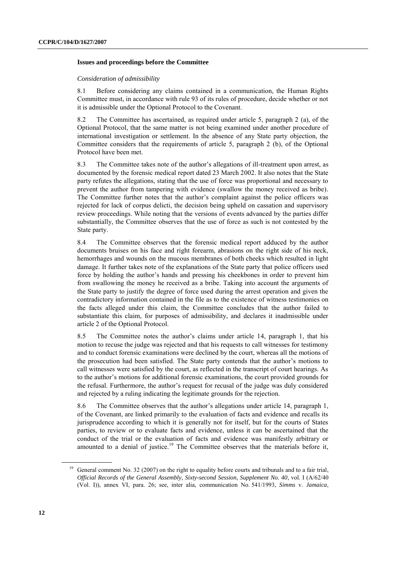#### **Issues and proceedings before the Committee**

#### *Consideration of admissibility*

8.1 Before considering any claims contained in a communication, the Human Rights Committee must, in accordance with rule 93 of its rules of procedure, decide whether or not it is admissible under the Optional Protocol to the Covenant.

8.2 The Committee has ascertained, as required under article 5, paragraph 2 (a), of the Optional Protocol, that the same matter is not being examined under another procedure of international investigation or settlement. In the absence of any State party objection, the Committee considers that the requirements of article 5, paragraph 2 (b), of the Optional Protocol have been met.

8.3 The Committee takes note of the author's allegations of ill-treatment upon arrest, as documented by the forensic medical report dated 23 March 2002. It also notes that the State party refutes the allegations, stating that the use of force was proportional and necessary to prevent the author from tampering with evidence (swallow the money received as bribe). The Committee further notes that the author's complaint against the police officers was rejected for lack of corpus delicti, the decision being upheld on cassation and supervisory review proceedings. While noting that the versions of events advanced by the parties differ substantially, the Committee observes that the use of force as such is not contested by the State party.

8.4 The Committee observes that the forensic medical report adduced by the author documents bruises on his face and right forearm, abrasions on the right side of his neck, hemorrhages and wounds on the mucous membranes of both cheeks which resulted in light damage. It further takes note of the explanations of the State party that police officers used force by holding the author's hands and pressing his cheekbones in order to prevent him from swallowing the money he received as a bribe. Taking into account the arguments of the State party to justify the degree of force used during the arrest operation and given the contradictory information contained in the file as to the existence of witness testimonies on the facts alleged under this claim, the Committee concludes that the author failed to substantiate this claim, for purposes of admissibility, and declares it inadmissible under article 2 of the Optional Protocol.

8.5 The Committee notes the author's claims under article 14, paragraph 1, that his motion to recuse the judge was rejected and that his requests to call witnesses for testimony and to conduct forensic examinations were declined by the court, whereas all the motions of the prosecution had been satisfied. The State party contends that the author's motions to call witnesses were satisfied by the court, as reflected in the transcript of court hearings. As to the author's motions for additional forensic examinations, the court provided grounds for the refusal. Furthermore, the author's request for recusal of the judge was duly considered and rejected by a ruling indicating the legitimate grounds for the rejection.

8.6 The Committee observes that the author's allegations under article 14, paragraph 1, of the Covenant, are linked primarily to the evaluation of facts and evidence and recalls its jurisprudence according to which it is generally not for itself, but for the courts of States parties, to review or to evaluate facts and evidence, unless it can be ascertained that the conduct of the trial or the evaluation of facts and evidence was manifestly arbitrary or amounted to a denial of justice.<sup>19</sup> The Committee observes that the materials before it,

General comment No. 32 (2007) on the right to equality before courts and tribunals and to a fair trial, *Official Records of the General Assembly, Sixty-second Session, Supplement No. 40*, vol. I (A/62/40 (Vol. I)), annex VI, para. 26; see, inter alia, communication No. 541/1993, *Simms* v. *Jamaica*,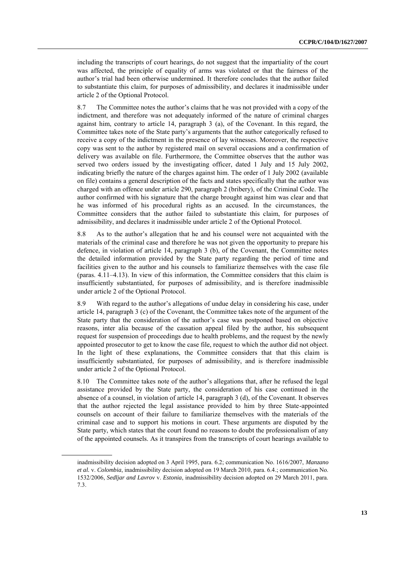including the transcripts of court hearings, do not suggest that the impartiality of the court was affected, the principle of equality of arms was violated or that the fairness of the author's trial had been otherwise undermined. It therefore concludes that the author failed to substantiate this claim, for purposes of admissibility, and declares it inadmissible under article 2 of the Optional Protocol.

8.7 The Committee notes the author's claims that he was not provided with a copy of the indictment, and therefore was not adequately informed of the nature of criminal charges against him, contrary to article 14, paragraph 3 (a), of the Covenant. In this regard, the Committee takes note of the State party's arguments that the author categorically refused to receive a copy of the indictment in the presence of lay witnesses. Moreover, the respective copy was sent to the author by registered mail on several occasions and a confirmation of delivery was available on file. Furthermore, the Committee observes that the author was served two orders issued by the investigating officer, dated 1 July and 15 July 2002, indicating briefly the nature of the charges against him. The order of 1 July 2002 (available on file) contains a general description of the facts and states specifically that the author was charged with an offence under article 290, paragraph 2 (bribery), of the Criminal Code. The author confirmed with his signature that the charge brought against him was clear and that he was informed of his procedural rights as an accused. In the circumstances, the Committee considers that the author failed to substantiate this claim, for purposes of admissibility, and declares it inadmissible under article 2 of the Optional Protocol.

8.8 As to the author's allegation that he and his counsel were not acquainted with the materials of the criminal case and therefore he was not given the opportunity to prepare his defence, in violation of article 14, paragraph 3 (b), of the Covenant, the Committee notes the detailed information provided by the State party regarding the period of time and facilities given to the author and his counsels to familiarize themselves with the case file (paras. 4.11–4.13). In view of this information, the Committee considers that this claim is insufficiently substantiated, for purposes of admissibility, and is therefore inadmissible under article 2 of the Optional Protocol.

8.9 With regard to the author's allegations of undue delay in considering his case, under article 14, paragraph 3 (c) of the Covenant, the Committee takes note of the argument of the State party that the consideration of the author's case was postponed based on objective reasons, inter alia because of the cassation appeal filed by the author, his subsequent request for suspension of proceedings due to health problems, and the request by the newly appointed prosecutor to get to know the case file, request to which the author did not object. In the light of these explanations, the Committee considers that that this claim is insufficiently substantiated, for purposes of admissibility, and is therefore inadmissible under article 2 of the Optional Protocol.

8.10 The Committee takes note of the author's allegations that, after he refused the legal assistance provided by the State party, the consideration of his case continued in the absence of a counsel, in violation of article 14, paragraph 3 (d), of the Covenant. It observes that the author rejected the legal assistance provided to him by three State-appointed counsels on account of their failure to familiarize themselves with the materials of the criminal case and to support his motions in court. These arguments are disputed by the State party, which states that the court found no reasons to doubt the professionalism of any of the appointed counsels. As it transpires from the transcripts of court hearings available to

inadmissibility decision adopted on 3 April 1995, para. 6.2; communication No. 1616/2007, *Manzano et al.* v. *Colombia*, inadmissibility decision adopted on 19 March 2010, para. 6.4.; communication No. 1532/2006, *Sedljar and Lavrov* v. *Estonia*, inadmissibility decision adopted on 29 March 2011, para. 7.3.